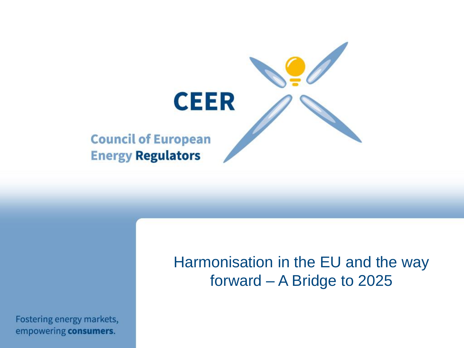

Fostering energy markets, empowering consumers.

# Harmonisation in the EU and the way forward – A Bridge to 2025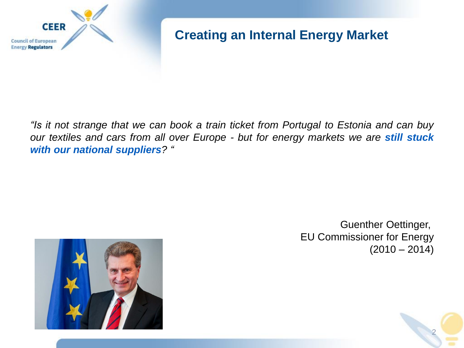

## **Creating an Internal Energy Market**

*"Is it not strange that we can book a train ticket from Portugal to Estonia and can buy our textiles and cars from all over Europe - but for energy markets we are still stuck with our national suppliers? "*



Guenther Oettinger, EU Commissioner for Energy  $(2010 - 2014)$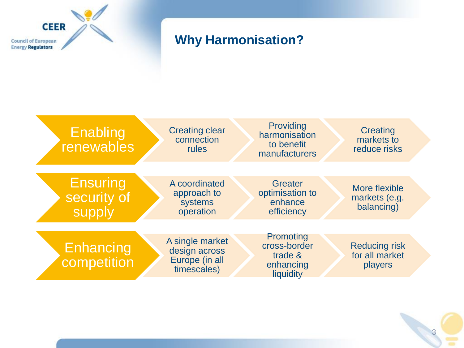

## **Why Harmonisation?**

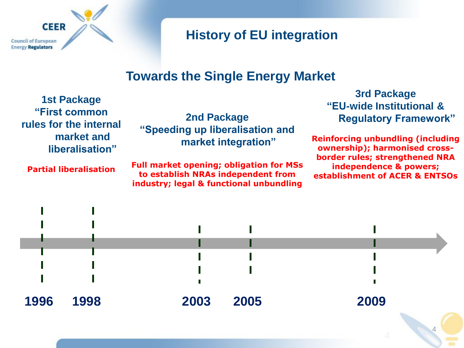

## **History of EU integration**

## **Towards the Single Energy Market**

| <b>1st Package</b><br>"First common<br>rules for the internal<br>market and<br>liberalisation" |      | <b>2nd Package</b><br>"Speeding up liberalisation and<br>market integration"<br><b>Full market opening; obligation for MSs</b><br>to establish NRAs independent from<br>industry; legal & functional unbundling |      | <b>3rd Package</b><br>"EU-wide Institutional &<br><b>Regulatory Framework"</b><br><b>Reinforcing unbundling (including</b><br>ownership); harmonised cross-<br>border rules; strengthened NRA<br>independence & powers;<br>establishment of ACER & ENTSOs |  |
|------------------------------------------------------------------------------------------------|------|-----------------------------------------------------------------------------------------------------------------------------------------------------------------------------------------------------------------|------|-----------------------------------------------------------------------------------------------------------------------------------------------------------------------------------------------------------------------------------------------------------|--|
| <b>Partial liberalisation</b>                                                                  |      |                                                                                                                                                                                                                 |      |                                                                                                                                                                                                                                                           |  |
|                                                                                                |      |                                                                                                                                                                                                                 |      |                                                                                                                                                                                                                                                           |  |
|                                                                                                |      |                                                                                                                                                                                                                 |      |                                                                                                                                                                                                                                                           |  |
| 1996                                                                                           | 1998 | 2003                                                                                                                                                                                                            | 2005 | 2009                                                                                                                                                                                                                                                      |  |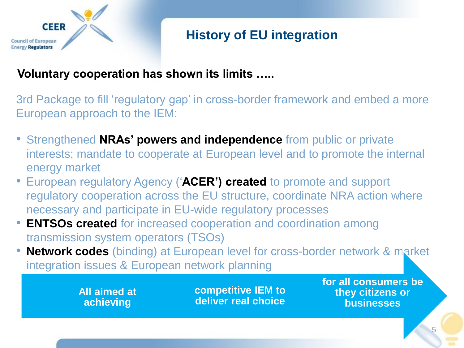

# **History of EU integration**

#### **Voluntary cooperation has shown its limits …..**

3rd Package to fill 'regulatory gap' in cross-border framework and embed a more European approach to the IEM:

- Strengthened **NRAs' powers and independence** from public or private interests; mandate to cooperate at European level and to promote the internal energy market
- European regulatory Agency ('**ACER') created** to promote and support regulatory cooperation across the EU structure, coordinate NRA action where necessary and participate in EU-wide regulatory processes
- **ENTSOs created for increased cooperation and coordination among** transmission system operators (TSOs)
- **Network codes** (binding) at European level for cross-border network & market integration issues & European network planning

**All aimed at achieving**

**competitive IEM to deliver real choice** **for all consumers be they citizens or businesses**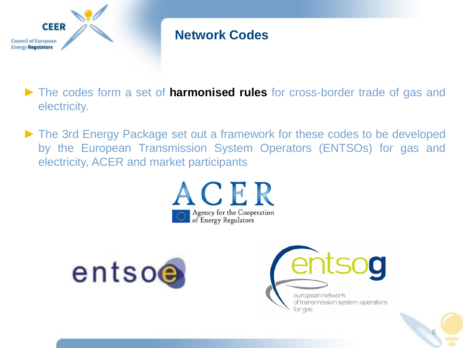

# **Network Codes**

- ► The codes form a set of **harmonised rules** for cross-border trade of gas and electricity.
- ► The 3rd Energy Package set out a framework for these codes to be developed by the European Transmission System Operators (ENTSOs) for gas and electricity, ACER and market participants





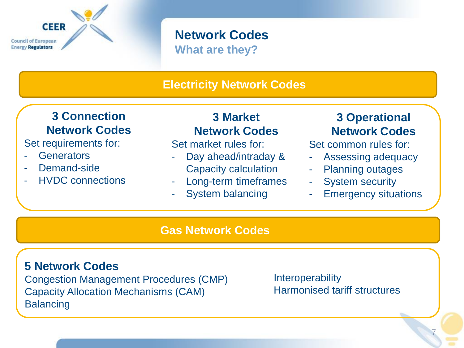# **CEER Council of European Energy Regulators**

#### **Network Codes What are they?**

#### **Electricity Network Codes**

## **3 Connection Network Codes**

Set requirements for:

- **Generators**
- Demand-side
- HVDC connections

#### **3 Market Network Codes**

Set market rules for:

- Day ahead/intraday & Capacity calculation
- Long-term timeframes
- System balancing

### **3 Operational Network Codes**

Set common rules for:

- Assessing adequacy
- Planning outages
- System security
- **Emergency situations**

#### **Gas Network Codes**

#### **5 Network Codes**

Congestion Management Procedures (CMP) Capacity Allocation Mechanisms (CAM) **Balancing** 

**Interoperability** Harmonised tariff structures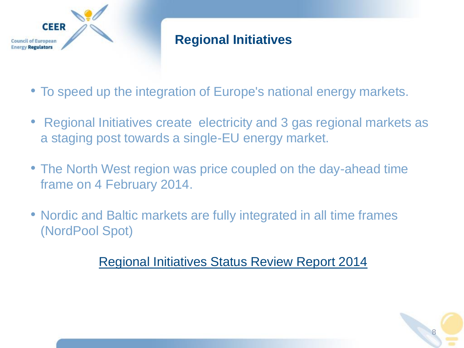

# **Regional Initiatives**

- To speed up the integration of Europe's national energy markets.
- Regional Initiatives create electricity and 3 gas regional markets as a staging post towards a single-EU energy market.
- The North West region was price coupled on the day-ahead time frame on 4 February 2014.
- Nordic and Baltic markets are fully integrated in all time frames (NordPool Spot)

[Regional Initiatives Status Review Report 2014](http://www.acer.europa.eu/Official_documents/Acts_of_the_Agency/Publication/ACER Regional Initiatives Status Review Report 2014.pdf) 

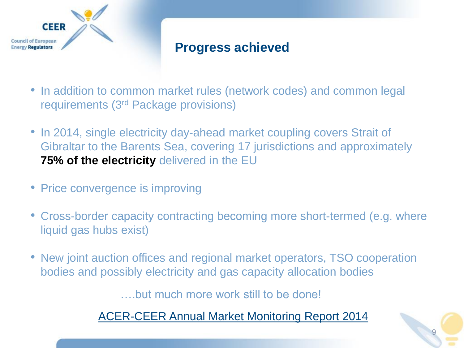

## **Progress achieved**

- In addition to common market rules (network codes) and common legal requirements (3rd Package provisions)
- In 2014, single electricity day-ahead market coupling covers Strait of Gibraltar to the Barents Sea, covering 17 jurisdictions and approximately **75% of the electricity** delivered in the EU
- Price convergence is improving
- Cross-border capacity contracting becoming more short-termed (e.g. where liquid gas hubs exist)
- New joint auction offices and regional market operators, TSO cooperation bodies and possibly electricity and gas capacity allocation bodies

….but much more work still to be done!

[ACER-CEER Annual Market Monitoring Report 2014](http://www.acer.europa.eu/Official_documents/Acts_of_the_Agency/Publication/ACER_Market_Monitoring_Report_2014.pdf)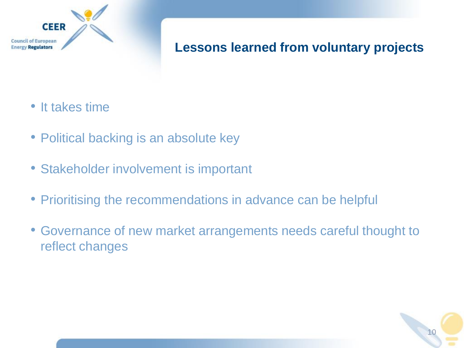

## **Lessons learned from voluntary projects**

- It takes time
- Political backing is an absolute key
- Stakeholder involvement is important
- Prioritising the recommendations in advance can be helpful
- Governance of new market arrangements needs careful thought to reflect changes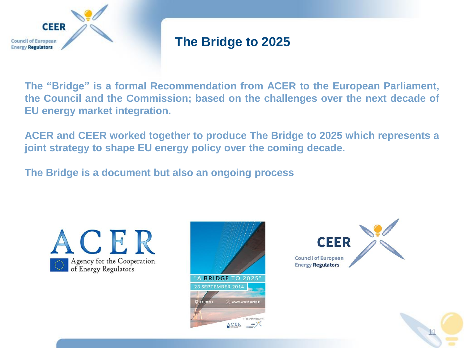

## **The Bridge to 2025**

**The "Bridge" is a formal Recommendation from ACER to the European Parliament, the Council and the Commission; based on the challenges over the next decade of EU energy market integration.**

**ACER and CEER worked together to produce The Bridge to 2025 which represents a joint strategy to shape EU energy policy over the coming decade.**

**The Bridge is a document but also an ongoing process**





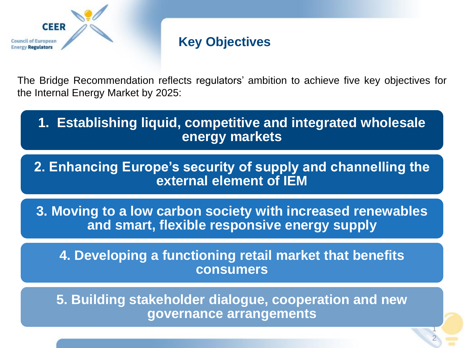

## **Key Objectives**

The Bridge Recommendation reflects regulators' ambition to achieve five key objectives for the Internal Energy Market by 2025:

**1. Establishing liquid, competitive and integrated wholesale energy markets**

**2. Enhancing Europe's security of supply and channelling the external element of IEM**

**3. Moving to a low carbon society with increased renewables and smart, flexible responsive energy supply** 

**4. Developing a functioning retail market that benefits consumers**

**5. Building stakeholder dialogue, cooperation and new governance arrangements**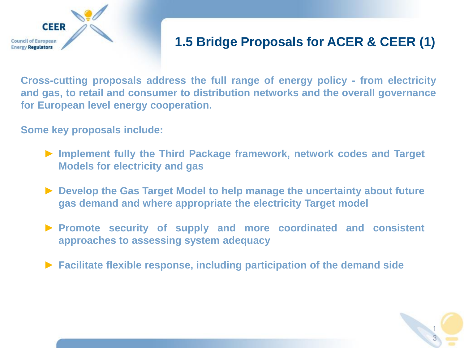

# **1.5 Bridge Proposals for ACER & CEER (1)**

**Cross-cutting proposals address the full range of energy policy - from electricity and gas, to retail and consumer to distribution networks and the overall governance for European level energy cooperation.**

**Some key proposals include:**

- ► **Implement fully the Third Package framework, network codes and Target Models for electricity and gas**
- ► **Develop the Gas Target Model to help manage the uncertainty about future gas demand and where appropriate the electricity Target model**
- ► **Promote security of supply and more coordinated and consistent approaches to assessing system adequacy**
- ► **Facilitate flexible response, including participation of the demand side**

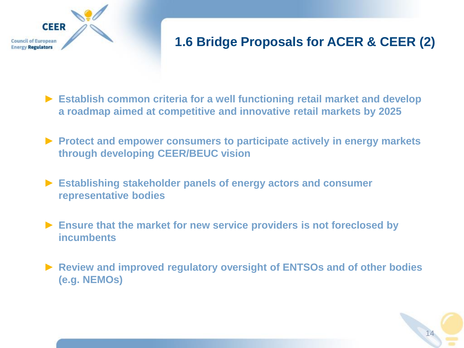

# **1.6 Bridge Proposals for ACER & CEER (2)**

- ► **Establish common criteria for a well functioning retail market and develop a roadmap aimed at competitive and innovative retail markets by 2025**
- ► **Protect and empower consumers to participate actively in energy markets through developing CEER/BEUC vision**
- ► **Establishing stakeholder panels of energy actors and consumer representative bodies**
- ► **Ensure that the market for new service providers is not foreclosed by incumbents**
- ► **Review and improved regulatory oversight of ENTSOs and of other bodies (e.g. NEMOs)**

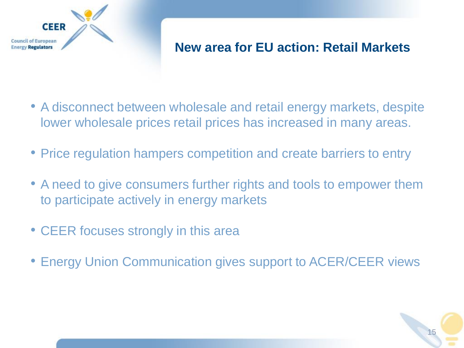

## **New area for EU action: Retail Markets**

- A disconnect between wholesale and retail energy markets, despite lower wholesale prices retail prices has increased in many areas.
- Price regulation hampers competition and create barriers to entry
- A need to give consumers further rights and tools to empower them to participate actively in energy markets
- CEER focuses strongly in this area
- Energy Union Communication gives support to ACER/CEER views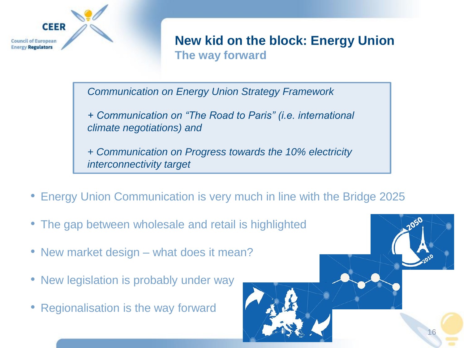

#### **New kid on the block: Energy Union The way forward**

*Communication on Energy Union Strategy Framework*

*+ Communication on "The Road to Paris" (i.e. international climate negotiations) and*

*+ Communication on Progress towards the 10% electricity interconnectivity target*

- Energy Union Communication is very much in line with the Bridge 2025
- The gap between wholesale and retail is highlighted
- New market design what does it mean?
- New legislation is probably under way
- Regionalisation is the way forward

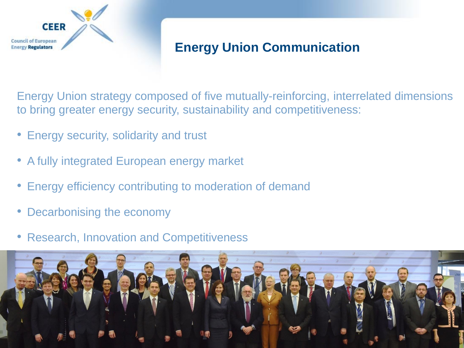

## **Energy Union Communication**

Energy Union strategy composed of five mutually-reinforcing, interrelated dimensions to bring greater energy security, sustainability and competitiveness:

- Energy security, solidarity and trust
- A fully integrated European energy market
- Energy efficiency contributing to moderation of demand
- Decarbonising the economy
- Research, Innovation and Competitiveness